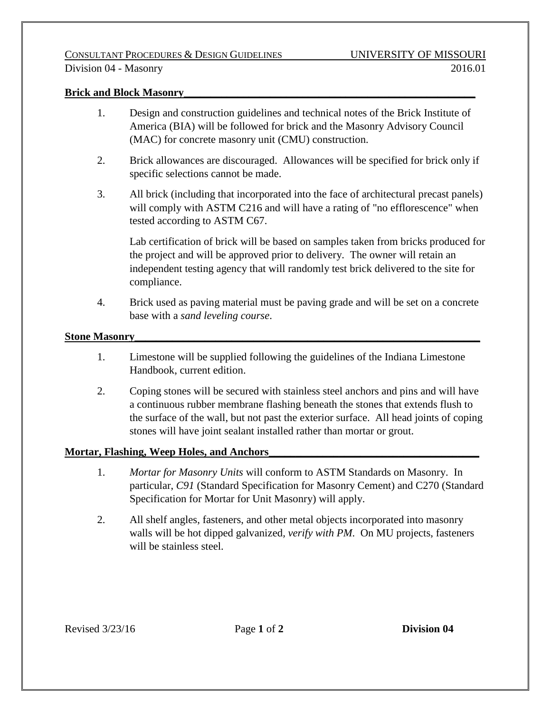## **Brick and Block Masonry**

- 1. Design and construction guidelines and technical notes of the Brick Institute of America (BIA) will be followed for brick and the Masonry Advisory Council (MAC) for concrete masonry unit (CMU) construction.
- 2. Brick allowances are discouraged. Allowances will be specified for brick only if specific selections cannot be made.
- 3. All brick (including that incorporated into the face of architectural precast panels) will comply with ASTM C216 and will have a rating of "no efflorescence" when tested according to ASTM C67.

Lab certification of brick will be based on samples taken from bricks produced for the project and will be approved prior to delivery. The owner will retain an independent testing agency that will randomly test brick delivered to the site for compliance.

4. Brick used as paving material must be paving grade and will be set on a concrete base with a *sand leveling course*.

## **Stone Masonry**

- 1. Limestone will be supplied following the guidelines of the Indiana Limestone Handbook, current edition.
- 2. Coping stones will be secured with stainless steel anchors and pins and will have a continuous rubber membrane flashing beneath the stones that extends flush to the surface of the wall, but not past the exterior surface. All head joints of coping stones will have joint sealant installed rather than mortar or grout.

## **Mortar, Flashing, Weep Holes, and Anchors\_\_\_\_\_\_\_\_\_\_\_\_\_\_\_\_\_\_\_\_\_\_\_\_\_\_\_\_\_\_\_\_\_\_\_\_\_\_\_**

- 1. *Mortar for Masonry Units* will conform to ASTM Standards on Masonry. In particular, *C91* (Standard Specification for Masonry Cement) and C270 (Standard Specification for Mortar for Unit Masonry) will apply.
- 2. All shelf angles, fasteners, and other metal objects incorporated into masonry walls will be hot dipped galvanized*, verify with PM*. On MU projects, fasteners will be stainless steel.